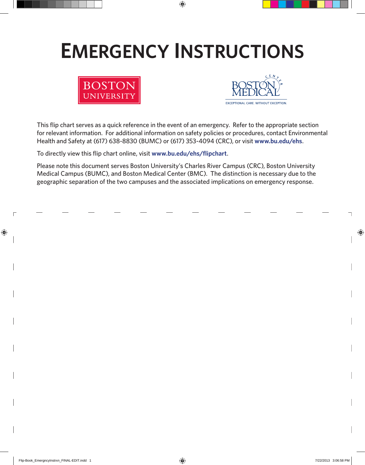# **Emergency Instructions**





**EXCEPTIONAL CARE WITHOUT EXCEPTION** 

This flip chart serves as a quick reference in the event of an emergency. Refer to the appropriate section for relevant information. For additional information on safety policies or procedures, contact Environmental Health and Safety at (617) 638-8830 (BUMC) or (617) 353-4094 (CRC), or visit **www.bu.edu/ehs**.

To directly view this flip chart online, visit **www.bu.edu/ehs/flipchart**.

Please note this document serves Boston University's Charles River Campus (CRC), Boston University Medical Campus (BUMC), and Boston Medical Center (BMC). The distinction is necessary due to the geographic separation of the two campuses and the associated implications on emergency response.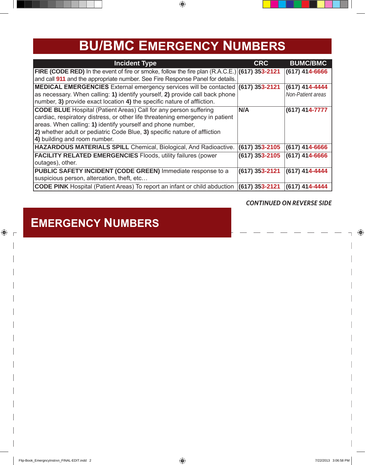## **BU/BMC Emergency Numbers**

| <b>Incident Type</b>                                                                                   | <b>CRC</b>       | <b>BUMC/BMC</b>   |
|--------------------------------------------------------------------------------------------------------|------------------|-------------------|
| <b>FIRE (CODE RED)</b> In the event of fire or smoke, follow the fire plan $(R.A.C.E.)$ (617) 353-2121 |                  | (617) 414-6666    |
| and call 911 and the appropriate number. See Fire Response Panel for details.                          |                  |                   |
| <b>MEDICAL EMERGENCIES</b> External emergency services will be contacted (617) 353-2121                |                  | (617) 414-4444    |
| as necessary. When calling: 1) identify yourself, 2) provide call back phone                           |                  | Non-Patient areas |
| number, 3) provide exact location 4) the specific nature of affliction.                                |                  |                   |
| <b>CODE BLUE</b> Hospital (Patient Areas) Call for any person suffering                                | N/A              | (617) 414-7777    |
| cardiac, respiratory distress, or other life threatening emergency in patient                          |                  |                   |
| areas. When calling: 1) identify yourself and phone number,                                            |                  |                   |
| 2) whether adult or pediatric Code Blue, 3) specific nature of affliction                              |                  |                   |
| 4) building and room number.                                                                           |                  |                   |
| HAZARDOUS MATERIALS SPILL Chemical, Biological, And Radioactive.                                       | (617) 353-2105   | (617) 414-6666    |
| <b>FACILITY RELATED EMERGENCIES Floods, utility failures (power</b>                                    | (617) 353-2105   | (617) 414-6666    |
| outages), other.                                                                                       |                  |                   |
| <b>PUBLIC SAFETY INCIDENT (CODE GREEN)</b> Immediate response to a                                     | $(617)$ 353-2121 | (617) 414-4444    |
| suspicious person, altercation, theft, etc                                                             |                  |                   |
| <b>CODE PINK</b> Hospital (Patient Areas) To report an infant or child abduction                       | (617) 353-2121   | (617) 414-4444    |

#### *Continued on Reverse Side*

### **Emergency Numbers**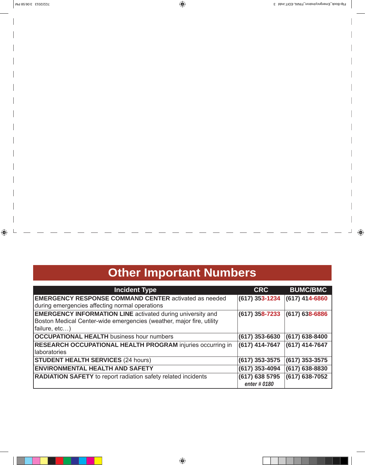## **Other Important Numbers**

| <b>Incident Type</b>                                                 | <b>CRC</b>       | <b>BUMC/BMC</b>    |
|----------------------------------------------------------------------|------------------|--------------------|
| <b>EMERGENCY RESPONSE COMMAND CENTER activated as needed</b>         | (617) 353-1234   | $(617)$ 414-6860   |
| during emergencies affecting normal operations                       |                  |                    |
| <b>EMERGENCY INFORMATION LINE</b> activated during university and    | $(617)$ 358-7233 | $(617) 638 - 6886$ |
| Boston Medical Center-wide emergencies (weather, major fire, utility |                  |                    |
| failure, etc)                                                        |                  |                    |
| <b>OCCUPATIONAL HEALTH</b> business hour numbers                     | (617) 353-6630   | $(617)$ 638-8400   |
| <b>RESEARCH OCCUPATIONAL HEALTH PROGRAM injuries occurring in</b>    | (617) 414-7647   | (617) 414-7647     |
| laboratories                                                         |                  |                    |
| <b>STUDENT HEALTH SERVICES (24 hours)</b>                            | (617) 353-3575   | $(617)$ 353-3575   |
| <b>ENVIRONMENTAL HEALTH AND SAFETY</b>                               | (617) 353-4094   | $(617)$ 638-8830   |
| <b>RADIATION SAFETY</b> to report radiation safety related incidents | (617) 638 5795   | $(617) 638 - 7052$ |
|                                                                      | enter # 0180     |                    |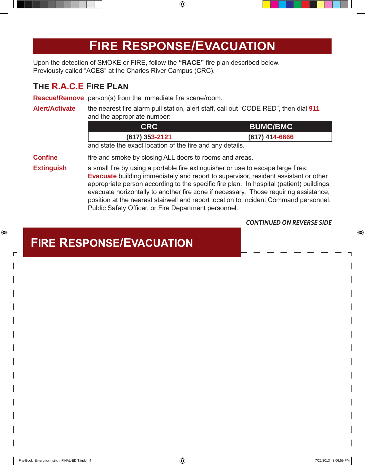## **Fire Response/Evacuation**

Upon the detection of SMOKE or FIRE, follow the **"RACE"** fire plan described below. Previously called "ACES" at the Charles River Campus (CRC).

#### **The R.A.C.E Fire Plan**

**Rescue/Remove** person(s) from the immediate fire scene/room.

#### **Alert/Activate** the nearest fire alarm pull station, alert staff, call out "CODE RED", then dial **911** and the appropriate number:

| CRC              | <b>BUMC/BMC</b>  |
|------------------|------------------|
| $(617)$ 353-2121 | $(617)$ 414-6666 |

and state the exact location of the fire and any details.

**Confine** fire and smoke by closing ALL doors to rooms and areas.

**Extinguish** a small fire by using a portable fire extinguisher or use to escape large fires. **Evacuate** building immediately and report to supervisor, resident assistant or other appropriate person according to the specific fire plan. In hospital (patient) buildings, evacuate horizontally to another fire zone if necessary. Those requiring assistance, position at the nearest stairwell and report location to Incident Command personnel, Public Safety Officer, or Fire Department personnel.

#### *Continued on Reverse Side*

### **Fire Response/Evacuation**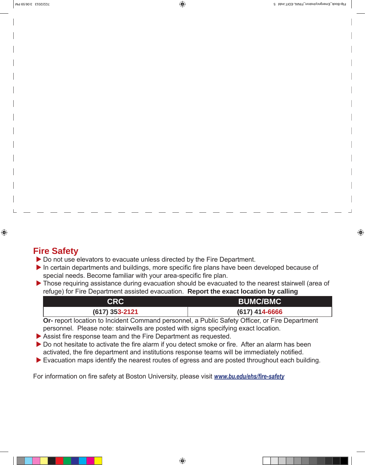### **Fire Safety**

▶ Do not use elevators to evacuate unless directed by the Fire Department.

- $\blacktriangleright$  In certain departments and buildings, more specific fire plans have been developed because of special needs. Become familiar with your area-specific fire plan.
- If Those requiring assistance during evacuation should be evacuated to the nearest stairwell (area of refuge) for Fire Department assisted evacuation. **Report the exact location by calling**

| <b>CRC</b>       | <b>BUMC/BMC</b>                                      |
|------------------|------------------------------------------------------|
| $(617)$ 353-2121 | $(617)$ 414-6666                                     |
| . .              | _ _ . _ _ _<br>$- \cdot$<br>$\overline{\phantom{a}}$ |

**Or-** report location to Incident Command personnel, a Public Safety Officer, or Fire Department personnel. Please note: stairwells are posted with signs specifying exact location.

- $\triangleright$  Assist fire response team and the Fire Department as requested.
- $\triangleright$  Do not hesitate to activate the fire alarm if you detect smoke or fire. After an alarm has been activated, the fire department and institutions response teams will be immediately notified.
- $\blacktriangleright$  Evacuation maps identify the nearest routes of egress and are posted throughout each building.

For information on fire safety at Boston University, please visit *www.bu.edu/ehs/fire-safety*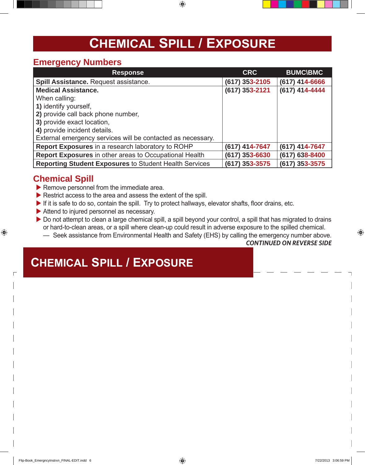## **Chemical Spill / Exposure**

#### **Emergency Numbers**

| <b>Response</b>                                               | <b>CRC</b>       | <b>BUMC\BMC</b>    |
|---------------------------------------------------------------|------------------|--------------------|
| <b>Spill Assistance. Request assistance.</b>                  | $(617)$ 353-2105 | $(617)$ 414-6666   |
| <b>Medical Assistance.</b>                                    | (617) 353-2121   | (617) 414-4444     |
| When calling:                                                 |                  |                    |
| 1) identify yourself,                                         |                  |                    |
| 2) provide call back phone number,                            |                  |                    |
| 3) provide exact location,                                    |                  |                    |
| 4) provide incident details.                                  |                  |                    |
| External emergency services will be contacted as necessary.   |                  |                    |
| Report Exposures in a research laboratory to ROHP             | (617) 414-7647   | (617) 414-7647     |
| Report Exposures in other areas to Occupational Health        | $(617)$ 353-6630 | $(617) 638 - 8400$ |
| <b>Reporting Student Exposures to Student Health Services</b> | $(617)$ 353-3575 | $(617)$ 353-3575   |

#### **Chemical Spill**

- $\blacktriangleright$  Remove personnel from the immediate area.
- $\blacktriangleright$  Restrict access to the area and assess the extent of the spill.
- $\blacktriangleright$  If it is safe to do so, contain the spill. Try to protect hallways, elevator shafts, floor drains, etc.
- $\blacktriangleright$  Attend to injured personnel as necessary.
- Do not attempt to clean a large chemical spill, a spill beyond your control, a spill that has migrated to drains or hard-to-clean areas, or a spill where clean-up could result in adverse exposure to the spilled chemical.

— Seek assistance from Environmental Health and Safety (EHS) by calling the emergency number above.

*Continued on Reverse Side*

### **Chemical Spill / Exposure**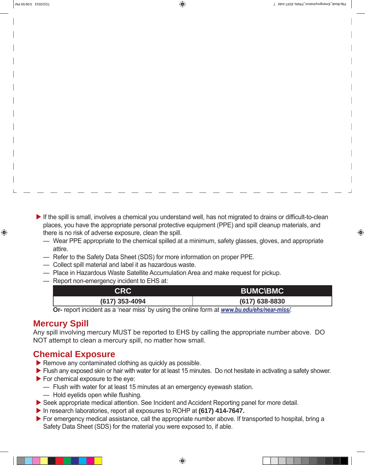$\blacktriangleright$  If the spill is small, involves a chemical you understand well, has not migrated to drains or difficult-to-clean places, you have the appropriate personal protective equipment (PPE) and spill cleanup materials, and there is no risk of adverse exposure, clean the spill.

- Wear PPE appropriate to the chemical spilled at a minimum, safety glasses, gloves, and appropriate attire.
- Refer to the Safety Data Sheet (SDS) for more information on proper PPE.
- Collect spill material and label it as hazardous waste.
- Place in Hazardous Waste Satellite Accumulation Area and make request for pickup.
- Report non-emergency incident to EHS at:

| <b>CRC</b>     | <b>BUMC\BMC</b>  |
|----------------|------------------|
| (617) 353-4094 | $(617)$ 638-8830 |

**Or-** report incident as a 'near miss' by using the online form at *www.bu.edu/ehs/near-miss/*.

### **Mercury Spill**

Any spill involving mercury MUST be reported to EHS by calling the appropriate number above. DO NOT attempt to clean a mercury spill, no matter how small.

### **Chemical Exposure**

- $\blacktriangleright$  Remove any contaminated clothing as quickly as possible.
- If Flush any exposed skin or hair with water for at least 15 minutes. Do not hesitate in activating a safety shower.
- $\blacktriangleright$  For chemical exposure to the eye:
	- Flush with water for at least 15 minutes at an emergency eyewash station.
	- Hold eyelids open while flushing.
- Seek appropriate medical attention. See Incident and Accident Reporting panel for more detail.
- In research laboratories, report all exposures to ROHP at **(617) 414-7647.**
- $\triangleright$  For emergency medical assistance, call the appropriate number above. If transported to hospital, bring a Safety Data Sheet (SDS) for the material you were exposed to, if able.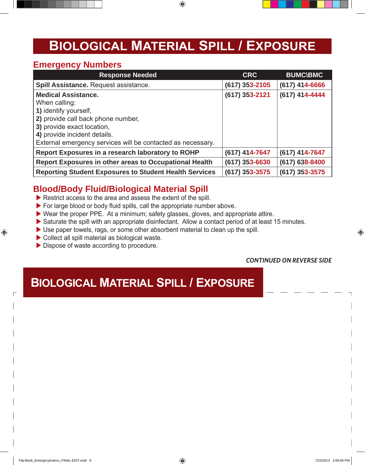## **Biological Material Spill / Exposure**

#### **Emergency Numbers**

| <b>Response Needed</b>                                        | <b>CRC</b>       | <b>BUMC\BMC</b>    |
|---------------------------------------------------------------|------------------|--------------------|
| Spill Assistance. Request assistance.                         | (617) 353-2105   | $(617)$ 414-6666   |
| <b>Medical Assistance.</b>                                    | $(617)$ 353-2121 | (617) 414-4444     |
| When calling:                                                 |                  |                    |
| 1) identify yourself,                                         |                  |                    |
| 2) provide call back phone number,                            |                  |                    |
| 3) provide exact location,                                    |                  |                    |
| 4) provide incident details.                                  |                  |                    |
| External emergency services will be contacted as necessary.   |                  |                    |
| Report Exposures in a research laboratory to ROHP             | (617) 414-7647   | (617) 414-7647     |
| <b>Report Exposures in other areas to Occupational Health</b> | $(617)$ 353-6630 | $(617) 638 - 8400$ |
| <b>Reporting Student Exposures to Student Health Services</b> | $(617)$ 353-3575 | $(617)$ 353-3575   |

### **Blood/Body Fluid/Biological Material Spill**

- $\blacktriangleright$  Restrict access to the area and assess the extent of the spill.
- $\blacktriangleright$  For large blood or body fluid spills, call the appropriate number above.
- $\triangleright$  Wear the proper PPE. At a minimum; safety glasses, gloves, and appropriate attire.
- $\triangleright$  Saturate the spill with an appropriate disinfectant. Allow a contact period of at least 15 minutes.
- $\triangleright$  Use paper towels, rags, or some other absorbent material to clean up the spill.
- $\triangleright$  Collect all spill material as biological waste.
- $\triangleright$  Dispose of waste according to procedure.

#### *Continued on Reverse Side*

### **Biological Material Spill / Exposure**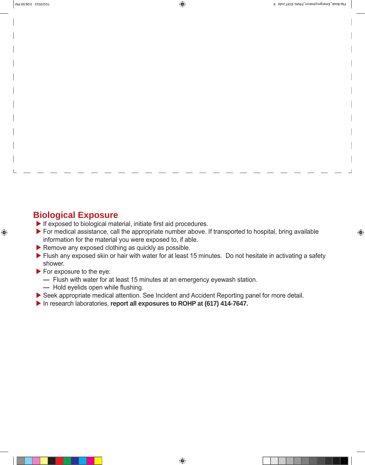### **Biological Exposure**

- $\blacktriangleright$  If exposed to biological material, initiate first aid procedures.
- $\triangleright$  For medical assistance, call the appropriate number above. If transported to hospital, bring available information for the material you were exposed to, if able.
- $\blacktriangleright$  Remove any exposed clothing as quickly as possible.
- $\blacktriangleright$  Flush any exposed skin or hair with water for at least 15 minutes. Do not hesitate in activating a safety shower.
- $\blacktriangleright$  For exposure to the eye:
	- Flush with water for at least 15 minutes at an emergency eyewash station.
	- Hold eyelids open while flushing.
- ▶ Seek appropriate medical attention. See Incident and Accident Reporting panel for more detail.
- In research laboratories, **report all exposures to ROHP at (617) 414-7647.**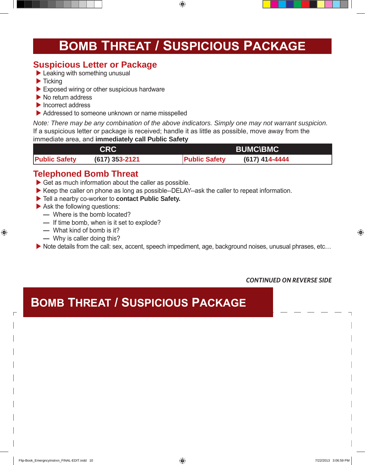## **Bomb Threat / Suspicious Package**

### **Suspicious Letter or Package**

- $\blacktriangleright$  Leaking with something unusual
- $\blacktriangleright$  Ticking
- $\blacktriangleright$  Exposed wiring or other suspicious hardware
- $\blacktriangleright$  No return address
- $\blacktriangleright$  Incorrect address
- $\triangleright$  Addressed to someone unknown or name misspelled

*Note: There may be any combination of the above indicators. Simply one may not warrant suspicion.* If a suspicious letter or package is received; handle it as little as possible, move away from the immediate area, and **immediately call Public Safety** 

| <b>BUMC\BMC</b><br><b>CRC</b> |                |                      |                |
|-------------------------------|----------------|----------------------|----------------|
| <b>Public Safety</b>          | (617) 353-2121 | <b>Public Safety</b> | (617) 414-4444 |

### **Telephoned Bomb Threat**

- $\triangleright$  Get as much information about the caller as possible.
- $\triangleright$  Keep the caller on phone as long as possible--DELAY--ask the caller to repeat information.
- $\blacktriangleright$  Tell a nearby co-worker to **contact Public Safety.**
- $\blacktriangleright$  Ask the following questions:
	- Where is the bomb located?
	- If time bomb, when is it set to explode?
	- What kind of bomb is it?
	- Why is caller doing this?

▶ Note details from the call: sex, accent, speech impediment, age, background noises, unusual phrases, etc…

*Continued on Reverse Side*

### **Bomb Threat / Suspicious Package**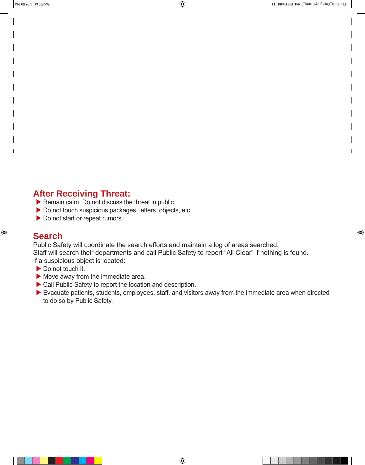### **After Receiving Threat:**

- $\blacktriangleright$  Remain calm. Do not discuss the threat in public.
- $\triangleright$  Do not touch suspicious packages, letters, objects, etc.
- $\triangleright$  Do not start or repeat rumors.

#### **Search**

Public Safety will coordinate the search efforts and maintain a log of areas searched.

Staff will search their departments and call Public Safety to report "All Clear" if nothing is found.

If a suspicious object is located:

- $\triangleright$  Do not touch it.
- $\blacktriangleright$  Move away from the immediate area.
- $\triangleright$  Call Public Safety to report the location and description.
- $\blacktriangleright$  Evacuate patients, students, employees, staff, and visitors away from the immediate area when directed to do so by Public Safety.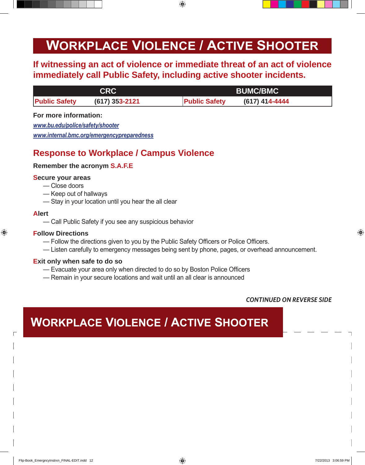## **Workplace Violence / Active Shooter**

### **If witnessing an act of violence or immediate threat of an act of violence immediately call Public Safety, including active shooter incidents.**

|                      | CRC              | <b>BUMC/BMC</b>                        |
|----------------------|------------------|----------------------------------------|
| <b>Public Safety</b> | $(617)$ 353-2121 | <b>Public Safety</b><br>(617) 414-4444 |

#### **For more information:**

*www.bu.edu/police/safety/shooter*

*www.internal.bmc.org/emergencypreparedness*

### **Response to Workplace / Campus Violence**

#### **Remember the acronym S.A.F.E**

#### **Secure your areas**

- Close doors
- Keep out of hallways
- Stay in your location until you hear the all clear

#### **Alert**

— Call Public Safety if you see any suspicious behavior

#### **Follow Directions**

- Follow the directions given to you by the Public Safety Officers or Police Officers.
- Listen carefully to emergency messages being sent by phone, pages, or overhead announcement.

#### **Exit only when safe to do so**

- Evacuate your area only when directed to do so by Boston Police Officers
- Remain in your secure locations and wait until an all clear is announced

#### *Continued on Reverse Side*

### **Workplace Violence / Active Shooter**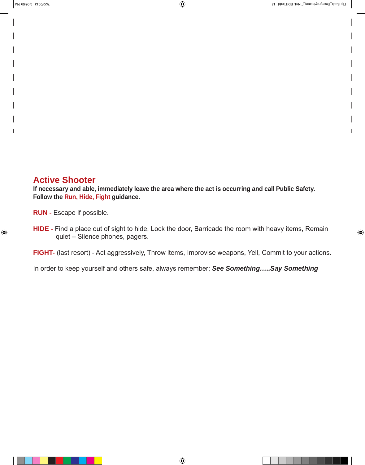#### **Active Shooter**

**If necessary and able, immediately leave the area where the act is occurring and call Public Safety. Follow the Run, Hide, Fight guidance.**

**RUN -** Escape if possible.

**HIDE -** Find a place out of sight to hide, Lock the door, Barricade the room with heavy items, Remain quiet – Silence phones, pagers.

**FIGHT-** (last resort) - Act aggressively, Throw items, Improvise weapons, Yell, Commit to your actions.

In order to keep yourself and others safe, always remember; *See Something…..Say Something*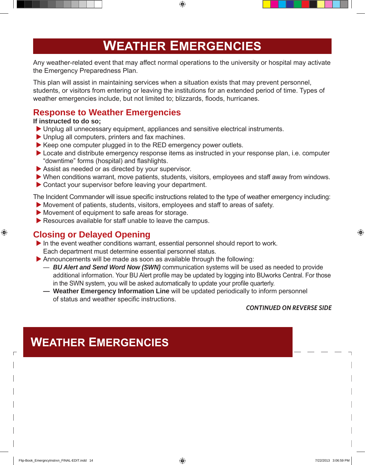## **Weather Emergencies**

Any weather-related event that may affect normal operations to the university or hospital may activate the Emergency Preparedness Plan.

This plan will assist in maintaining services when a situation exists that may prevent personnel, students, or visitors from entering or leaving the institutions for an extended period of time. Types of weather emergencies include, but not limited to; blizzards, floods, hurricanes.

### **Response to Weather Emergencies**

#### **If instructed to do so;**

- ▶ Unplug all unnecessary equipment, appliances and sensitive electrical instruments.
- $\blacktriangleright$  Unplug all computers, printers and fax machines.
- $\blacktriangleright$  Keep one computer plugged in to the RED emergency power outlets.
- $\blacktriangleright$  Locate and distribute emergency response items as instructed in your response plan, i.e. computer "downtime" forms (hospital) and flashlights.
- $\blacktriangleright$  Assist as needed or as directed by your supervisor.
- $\triangleright$  When conditions warrant, move patients, students, visitors, employees and staff away from windows.
- $\triangleright$  Contact your supervisor before leaving your department.

The Incident Commander will issue specific instructions related to the type of weather emergency including:

- $\blacktriangleright$  Movement of patients, students, visitors, employees and staff to areas of safety.
- $\blacktriangleright$  Movement of equipment to safe areas for storage.
- $\blacktriangleright$  Resources available for staff unable to leave the campus.

### **Closing or Delayed Opening**

- $\blacktriangleright$  In the event weather conditions warrant, essential personnel should report to work. Each department must determine essential personnel status.
- $\blacktriangleright$  Announcements will be made as soon as available through the following:
	- *BU Alert and Send Word Now (SWN)* communication systems will be used as needed to provide additional information. Your BU Alert profile may be updated by logging into BUworks Central. For those in the SWN system, you will be asked automatically to update your profile quarterly.
	- **Weather Emergency Information Line** will be updated periodically to inform personnel of status and weather specific instructions.

#### *Continued on Reverse Side*

## **Weather Emergencies**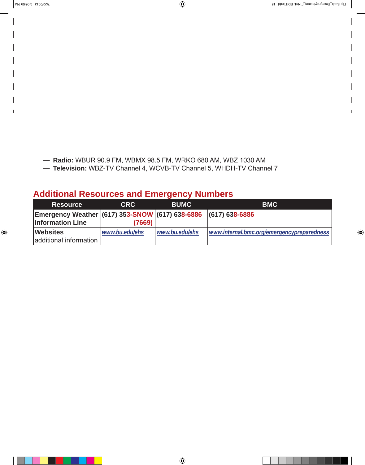- **Radio:** WBUR 90.9 FM, WBMX 98.5 FM, WRKO 680 AM, WBZ 1030 AM
- **Television:** WBZ-TV Channel 4, WCVB-TV Channel 5, WHDH-TV Channel 7

#### **Additional Resources and Emergency Numbers**

| <b>Resource</b>                                                                           | <b>CRC</b>     | <b>BUMC</b>    | <b>BMC</b>                                 |
|-------------------------------------------------------------------------------------------|----------------|----------------|--------------------------------------------|
| Emergency Weather (617) 353-SNOW (617) 638-6886 (617) 638-6886<br><b>Information Line</b> | (7669)         |                |                                            |
| <b>Websites</b><br>additional information                                                 | www.bu.edu/ehs | www.bu.edu/ehs | www.internal.bmc.org/emergencypreparedness |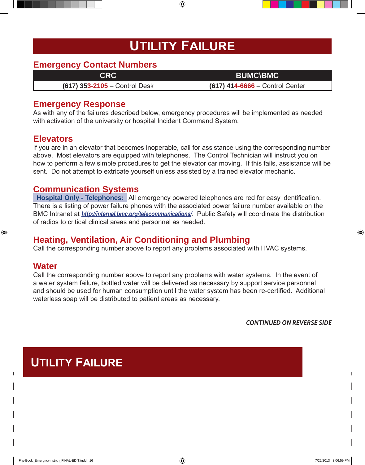## **Utility Failure**

#### **Emergency Contact Numbers**

**CRC BUMC\BMC**

**(617) 353-2105** – Control Desk **(617) 414-6666** – Control Center

#### **Emergency Response**

As with any of the failures described below, emergency procedures will be implemented as needed with activation of the university or hospital Incident Command System.

#### **Elevators**

If you are in an elevator that becomes inoperable, call for assistance using the corresponding number above. Most elevators are equipped with telephones. The Control Technician will instruct you on how to perform a few simple procedures to get the elevator car moving. If this fails, assistance will be sent. Do not attempt to extricate yourself unless assisted by a trained elevator mechanic.

#### **Communication Systems**

**Hospital Only - Telephones:** All emergency powered telephones are red for easy identification. There is a listing of power failure phones with the associated power failure number available on the BMC Intranet at *http://internal.bmc.org/telecommunications/*. Public Safety will coordinate the distribution of radios to critical clinical areas and personnel as needed.

#### **Heating, Ventilation, Air Conditioning and Plumbing**

Call the corresponding number above to report any problems associated with HVAC systems.

#### **Water**

Call the corresponding number above to report any problems with water systems. In the event of a water system failure, bottled water will be delivered as necessary by support service personnel and should be used for human consumption until the water system has been re-certified. Additional waterless soap will be distributed to patient areas as necessary.

*Continued on Reverse Side*

### **Utility Failure**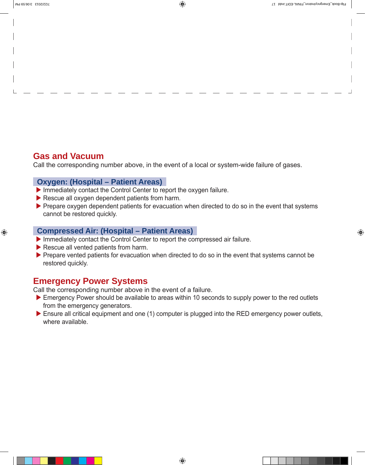### **Gas and Vacuum**

Call the corresponding number above, in the event of a local or system-wide failure of gases.

#### **Oxygen: (Hospital – Patient Areas)**

- $\blacktriangleright$  Immediately contact the Control Center to report the oxygen failure.
- $\blacktriangleright$  Rescue all oxygen dependent patients from harm.
- $\triangleright$  Prepare oxygen dependent patients for evacuation when directed to do so in the event that systems cannot be restored quickly.

#### **Compressed Air: (Hospital – Patient Areas)**

- $\blacktriangleright$  Immediately contact the Control Center to report the compressed air failure.
- $\blacktriangleright$  Rescue all vented patients from harm.
- $\triangleright$  Prepare vented patients for evacuation when directed to do so in the event that systems cannot be restored quickly.

#### **Emergency Power Systems**

Call the corresponding number above in the event of a failure.

- $\blacktriangleright$  Emergency Power should be available to areas within 10 seconds to supply power to the red outlets from the emergency generators.
- $\triangleright$  Ensure all critical equipment and one (1) computer is plugged into the RED emergency power outlets, where available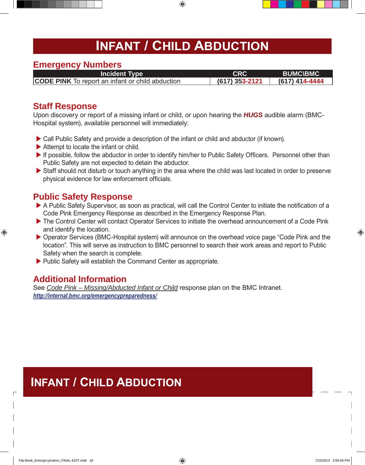## **Infant / Child Abduction**

#### **Emergency Numbers**

**CODE PINK** To report an infant or child abduction **(617) 353-2121 (617) 414-4444**

## **Incident Type**<br> **CRC BUMC\BMC**<br> **AID**<br> **EXC BUMC\BMC**<br> **CRC BUMC\BMC**<br> **EXC BUMC\BMC**

#### **Staff Response**

Upon discovery or report of a missing infant or child, or upon hearing the *HUGS* audible alarm (BMC-Hospital system), available personnel will immediately:

- ▶ Call Public Safety and provide a description of the infant or child and abductor (if known).
- $\blacktriangleright$  Attempt to locate the infant or child.
- $\blacktriangleright$  If possible, follow the abductor in order to identify him/her to Public Safety Officers. Personnel other than Public Safety are not expected to detain the abductor.
- $\triangleright$  Staff should not disturb or touch anything in the area where the child was last located in order to preserve physical evidence for law enforcement officials.

### **Public Safety Response**

- A Public Safety Supervisor, as soon as practical, will call the Control Center to initiate the notification of a Code Pink Emergency Response as described in the Emergency Response Plan.
- The Control Center will contact Operator Services to initiate the overhead announcement of a Code Pink and identify the location.
- ▶ Operator Services (BMC-Hospital system) will announce on the overhead voice page "Code Pink and the location". This will serve as instruction to BMC personnel to search their work areas and report to Public Safety when the search is complete.
- $\blacktriangleright$  Public Safety will establish the Command Center as appropriate.

### **Additional Information**

See *Code Pink – Missing/Abducted Infant or Child* response plan on the BMC Intranet. *http://internal.bmc.org/emergencypreparedness/*

## **Infant / Child Abduction**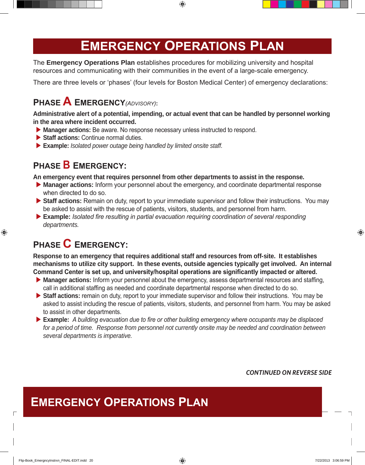## **Emergency Operations Plan**

The **Emergency Operations Plan** establishes procedures for mobilizing university and hospital resources and communicating with their communities in the event of a large-scale emergency.

There are three levels or 'phases' (four levels for Boston Medical Center) of emergency declarations:

### **Phase A Emergency***(Advisory)***:**

**Administrative alert of a potential, impending, or actual event that can be handled by personnel working in the area where incident occurred.**

- **Manager actions:** Be aware. No response necessary unless instructed to respond.
- ▶ Staff actions: Continue normal duties.
- ▶ Example: *Isolated power outage being handled by limited onsite staff.*

### **Phase B Emergency:**

**An emergency event that requires personnel from other departments to assist in the response.** 

- **Manager actions:** Inform your personnel about the emergency, and coordinate departmental response when directed to do so.
- ▶ Staff actions: Remain on duty, report to your immediate supervisor and follow their instructions. You may be asked to assist with the rescue of patients, visitors, students, and personnel from harm.
- ▶ **Example:** *Isolated fire resulting in partial evacuation requiring coordination of several responding departments.*

### **Phase C Emergency:**

**Response to an emergency that requires additional staff and resources from off-site. It establishes mechanisms to utilize city support. In these events, outside agencies typically get involved. An internal Command Center is set up, and university/hospital operations are significantly impacted or altered.**

- **Manager actions:** Inform your personnel about the emergency, assess departmental resources and staffing, call in additional staffing as needed and coordinate departmental response when directed to do so.
- ▶ Staff actions: remain on duty, report to your immediate supervisor and follow their instructions. You may be asked to assist including the rescue of patients, visitors, students, and personnel from harm. You may be asked to assist in other departments.
- **Example:** *A building evacuation due to fire or other building emergency where occupants may be displaced for a period of time. Response from personnel not currently onsite may be needed and coordination between several departments is imperative.*

*Continued on Reverse Side*

## **Emergency Operations Plan**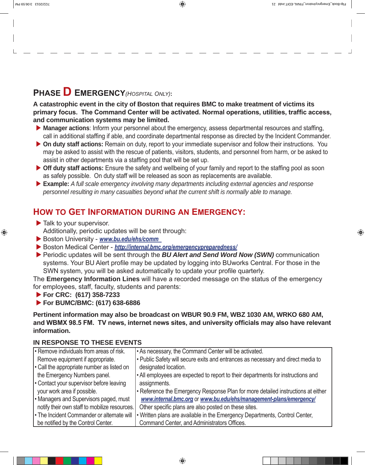### **Phase D Emergency***(Hospital Only)***:**

**A catastrophic event in the city of Boston that requires BMC to make treatment of victims its primary focus. The Command Center will be activated. Normal operations, utilities, traffic access, and communication systems may be limited.** 

- ▶ Manager actions: Inform your personnel about the emergency, assess departmental resources and staffing, call in additional staffing if able, and coordinate departmental response as directed by the Incident Commander.
- ▶ On duty staff actions: Remain on duty, report to your immediate supervisor and follow their instructions. You may be asked to assist with the rescue of patients, visitors, students, and personnel from harm, or be asked to assist in other departments via a staffing pool that will be set up.
- ▶ Off duty staff actions: Ensure the safety and wellbeing of your family and report to the staffing pool as soon as safely possible. On duty staff will be released as soon as replacements are available.
- ▶ **Example:** *A full scale emergency involving many departments including external agencies and response personnel resulting in many casualties beyond what the current shift is normally able to manage.*

### **How to Get Information during an Emergency:**

- $\blacktriangleright$  Talk to your supervisor. Additionally, periodic updates will be sent through:
- ▶ Boston University www.bu.edu/ehs/comm
- X Boston Medical Center *http://internal.bmc.org/emergencypreparedness/*
- ▶ Periodic updates will be sent through the *BU Alert and Send Word Now (SWN)* communication systems. Your BU Alert profile may be updated by logging into BUworks Central. For those in the SWN system, you will be asked automatically to update your profile quarterly.

The **Emergency Information Lines** will have a recorded message on the status of the emergency for employees, staff, faculty, students and parents:

▶ For CRC: (617) 358-7233

▶ For BUMC/BMC: (617) 638-6886

**Pertinent information may also be broadcast on WBUR 90.9 FM, WBZ 1030 AM, WRKO 680 AM, and WBMX 98.5 FM. TV news, internet news sites, and university officials may also have relevant information.**

#### **IN RESPONSE TO THESE EVENTS**

| • Remove individuals from areas of risk.      | • As necessary, the Command Center will be activated.                            |
|-----------------------------------------------|----------------------------------------------------------------------------------|
| Remove equipment if appropriate.              | • Public Safety will secure exits and entrances as necessary and direct media to |
| . Call the appropriate number as listed on    | designated location.                                                             |
| the Emergency Numbers panel.                  | • All employees are expected to report to their departments for instructions and |
| • Contact your supervisor before leaving      | assignments.                                                                     |
| your work area if possible.                   | • Reference the Emergency Response Plan for more detailed instructions at either |
| Managers and Supervisors paged, must          | www.internal.bmc.org or www.bu.edu/ehs/management-plans/emergency/               |
| notify their own staff to mobilize resources. | Other specific plans are also posted on these sites.                             |
| . The Incident Commander or alternate will    | • Written plans are available in the Emergency Departments, Control Center,      |
| be notified by the Control Center.            | Command Center, and Administrators Offices.                                      |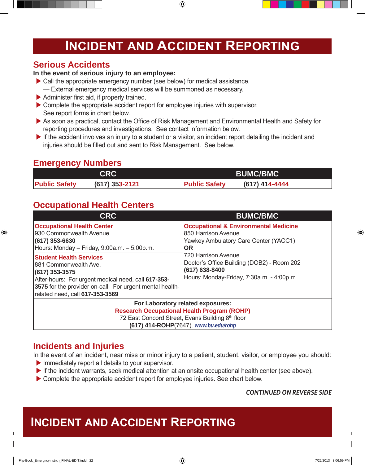## **Incident and Accident Reporting**

#### **Serious Accidents**

#### **In the event of serious injury to an employee:**

- $\blacktriangleright$  Call the appropriate emergency number (see below) for medical assistance. — External emergency medical services will be summoned as necessary.
- $\blacktriangleright$  Administer first aid, if properly trained.
- $\triangleright$  Complete the appropriate accident report for employee injuries with supervisor. See report forms in chart below.
- As soon as practical, contact the Office of Risk Management and Environmental Health and Safety for reporting procedures and investigations. See contact information below.
- $\blacktriangleright$  If the accident involves an injury to a student or a visitor, an incident report detailing the incident and injuries should be filled out and sent to Risk Management. See below.

### **Emergency Numbers**

|                      | <b>CRC</b>       | <b>BUMC/BMC</b>                        |  |
|----------------------|------------------|----------------------------------------|--|
| <b>Public Safety</b> | $(617)$ 353-2121 | (617) 414-4444<br><b>Public Safety</b> |  |

### **Occupational Health Centers**

| <b>CRC</b>                                                                                                                                                                                                                         | <b>BUMC/BMC</b>                                                                                                                  |  |  |
|------------------------------------------------------------------------------------------------------------------------------------------------------------------------------------------------------------------------------------|----------------------------------------------------------------------------------------------------------------------------------|--|--|
| <b>Occupational Health Center</b><br>1930 Commonwealth Avenue<br>$(617)$ 353-6630<br>Hours: Monday - Friday, 9:00a.m. - 5:00p.m.                                                                                                   | <b>Occupational &amp; Environmental Medicine</b><br>850 Harrison Avenue<br>Yawkey Ambulatory Care Center (YACC1)<br><b>OR</b>    |  |  |
| <b>Student Health Services</b><br>1881 Commonwealth Ave.<br>$(617)$ 353-3575<br>After-hours: For urgent medical need, call 617-353-<br>3575 for the provider on-call. For urgent mental health-<br>related need, call 617-353-3569 | 720 Harrison Avenue<br>Doctor's Office Building (DOB2) - Room 202<br>(617) 638-8400<br>Hours: Monday-Friday, 7:30a.m. - 4:00p.m. |  |  |
| For Laboratory related exposures:<br><b>Research Occupational Health Program (ROHP)</b><br>72 East Concord Street, Evans Building 8th floor<br>(617) 414-ROHP(7647). www.bu.edu/rohp                                               |                                                                                                                                  |  |  |

### **Incidents and Injuries**

In the event of an incident, near miss or minor injury to a patient, student, visitor, or employee you should:

- $\blacktriangleright$  Immediately report all details to your supervisor.
- $\blacktriangleright$  If the incident warrants, seek medical attention at an onsite occupational health center (see above).
- $\triangleright$  Complete the appropriate accident report for employee injuries. See chart below.

#### *Continued on Reverse Side*

## **Incident and Accident Reporting**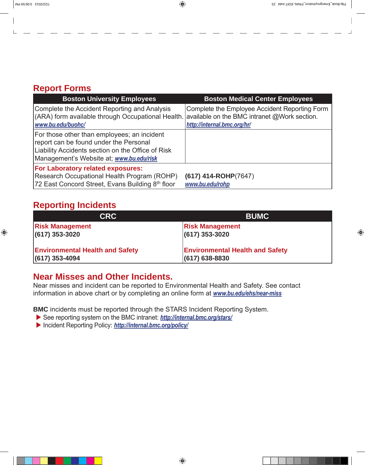#### **Report Forms**

| <b>Boston University Employees</b>                                                                                                                                                     | <b>Boston Medical Center Employees</b>                                       |
|----------------------------------------------------------------------------------------------------------------------------------------------------------------------------------------|------------------------------------------------------------------------------|
| Complete the Accident Reporting and Analysis<br>$ $ (ARA) form available through Occupational Health. available on the BMC intranet @Work section.<br>www.bu.edu/buohc/                | Complete the Employee Accident Reporting Form<br>http://internal.bmc.org/hr/ |
| For those other than employees; an incident<br>report can be found under the Personal<br>Liability Accidents section on the Office of Risk<br>Management's Website at; www.bu.edu/risk |                                                                              |
| <b>For Laboratory related exposures:</b>                                                                                                                                               |                                                                              |
| Research Occupational Health Program (ROHP)                                                                                                                                            | $(617)$ 414-ROHP(7647)                                                       |
| 72 East Concord Street, Evans Building 8th floor                                                                                                                                       | www.bu.edu/rohp                                                              |

### **Reporting Incidents**

| <b>CRC</b>                             | <b>BUMC</b>                            |
|----------------------------------------|----------------------------------------|
| <b>Risk Management</b>                 | <b>Risk Management</b>                 |
| $(617)$ 353-3020                       | $(617)$ 353-3020                       |
| <b>Environmental Health and Safety</b> | <b>Environmental Health and Safety</b> |
| $ (617)$ 353-4094                      | $(617)$ 638-8830                       |

#### **Near Misses and Other Incidents.**

Near misses and incident can be reported to Environmental Health and Safety. See contact information in above chart or by completing an online form at *www.bu.edu/ehs/near-miss*

**BMC** incidents must be reported through the STARS Incident Reporting System.

- ▶ See reporting system on the BMC intranet: **http://internal.bmc.org/stars/**
- X Incident Reporting Policy: *http://internal.bmc.org/policy/*